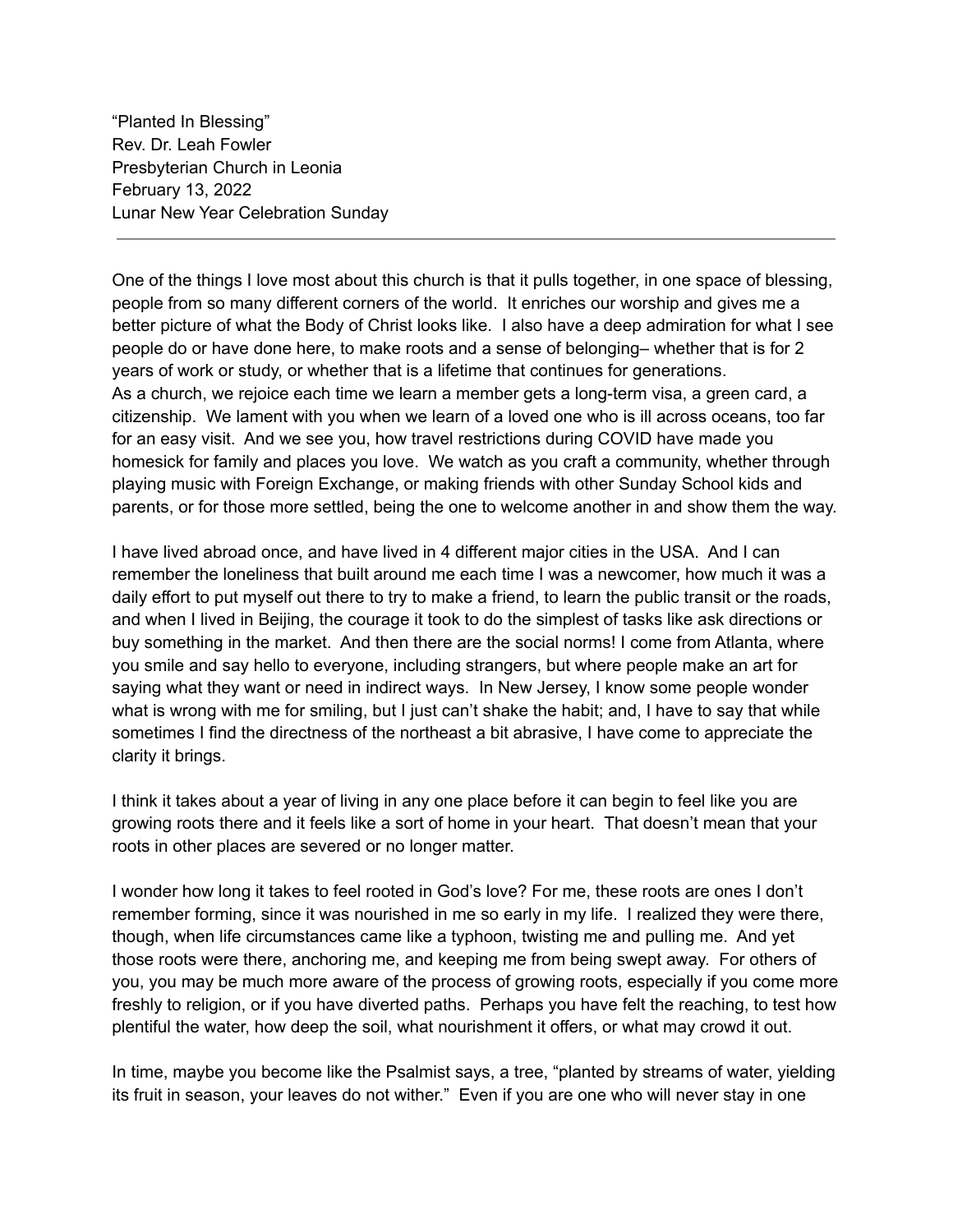"Planted In Blessing" Rev. Dr. Leah Fowler Presbyterian Church in Leonia February 13, 2022 Lunar New Year Celebration Sunday

One of the things I love most about this church is that it pulls together, in one space of blessing, people from so many different corners of the world. It enriches our worship and gives me a better picture of what the Body of Christ looks like. I also have a deep admiration for what I see people do or have done here, to make roots and a sense of belonging– whether that is for 2 years of work or study, or whether that is a lifetime that continues for generations. As a church, we rejoice each time we learn a member gets a long-term visa, a green card, a citizenship. We lament with you when we learn of a loved one who is ill across oceans, too far for an easy visit. And we see you, how travel restrictions during COVID have made you homesick for family and places you love. We watch as you craft a community, whether through playing music with Foreign Exchange, or making friends with other Sunday School kids and parents, or for those more settled, being the one to welcome another in and show them the way.

I have lived abroad once, and have lived in 4 different major cities in the USA. And I can remember the loneliness that built around me each time I was a newcomer, how much it was a daily effort to put myself out there to try to make a friend, to learn the public transit or the roads, and when I lived in Beijing, the courage it took to do the simplest of tasks like ask directions or buy something in the market. And then there are the social norms! I come from Atlanta, where you smile and say hello to everyone, including strangers, but where people make an art for saying what they want or need in indirect ways. In New Jersey, I know some people wonder what is wrong with me for smiling, but I just can't shake the habit; and, I have to say that while sometimes I find the directness of the northeast a bit abrasive, I have come to appreciate the clarity it brings.

I think it takes about a year of living in any one place before it can begin to feel like you are growing roots there and it feels like a sort of home in your heart. That doesn't mean that your roots in other places are severed or no longer matter.

I wonder how long it takes to feel rooted in God's love? For me, these roots are ones I don't remember forming, since it was nourished in me so early in my life. I realized they were there, though, when life circumstances came like a typhoon, twisting me and pulling me. And yet those roots were there, anchoring me, and keeping me from being swept away. For others of you, you may be much more aware of the process of growing roots, especially if you come more freshly to religion, or if you have diverted paths. Perhaps you have felt the reaching, to test how plentiful the water, how deep the soil, what nourishment it offers, or what may crowd it out.

In time, maybe you become like the Psalmist says, a tree, "planted by streams of water, yielding its fruit in season, your leaves do not wither." Even if you are one who will never stay in one